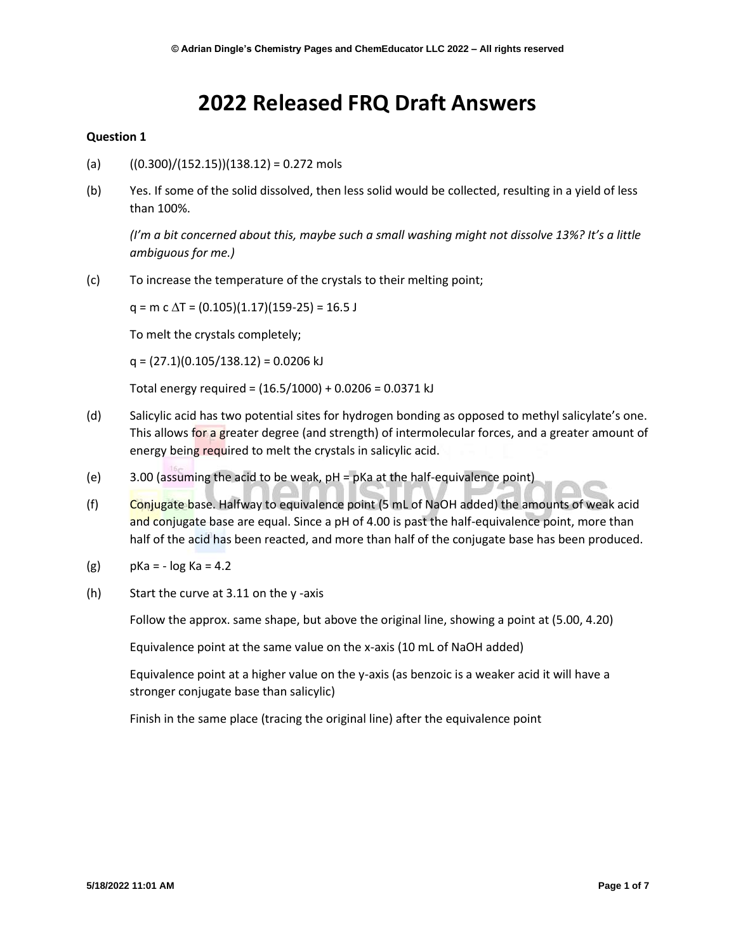# **2022 Released FRQ Draft Answers**

#### **Question 1**

- (a)  $((0.300)/(152.15))(138.12) = 0.272 \text{ mols}$
- (b) Yes. If some of the solid dissolved, then less solid would be collected, resulting in a yield of less than 100%.

*(I'm a bit concerned about this, maybe such a small washing might not dissolve 13%? It's a little ambiguous for me.)*

(c) To increase the temperature of the crystals to their melting point;

 $q = m c \Delta T = (0.105)(1.17)(159-25) = 16.5 J$ 

To melt the crystals completely;

 $q = (27.1)(0.105/138.12) = 0.0206$  kJ

Total energy required = (16.5/1000) + 0.0206 = 0.0371 kJ

- (d) Salicylic acid has two potential sites for hydrogen bonding as opposed to methyl salicylate's one. This allows for a greater degree (and strength) of intermolecular forces, and a greater amount of energy being required to melt the crystals in salicylic acid.
- (e) 3.00 (assuming the acid to be weak, pH = pKa at the half-equivalence point)
- (f) Conjugate base. Halfway to equivalence point  $(5 \text{ mL of NaOH}$  added) the amounts of weak acid and conjugate base are equal. Since a pH of 4.00 is past the half-equivalence point, more than half of the acid has been reacted, and more than half of the conjugate base has been produced.
- $(g)$  pKa =  $-$  log Ka = 4.2
- (h) Start the curve at 3.11 on the y -axis

Follow the approx. same shape, but above the original line, showing a point at (5.00, 4.20)

Equivalence point at the same value on the x-axis (10 mL of NaOH added)

Equivalence point at a higher value on the y-axis (as benzoic is a weaker acid it will have a stronger conjugate base than salicylic)

Finish in the same place (tracing the original line) after the equivalence point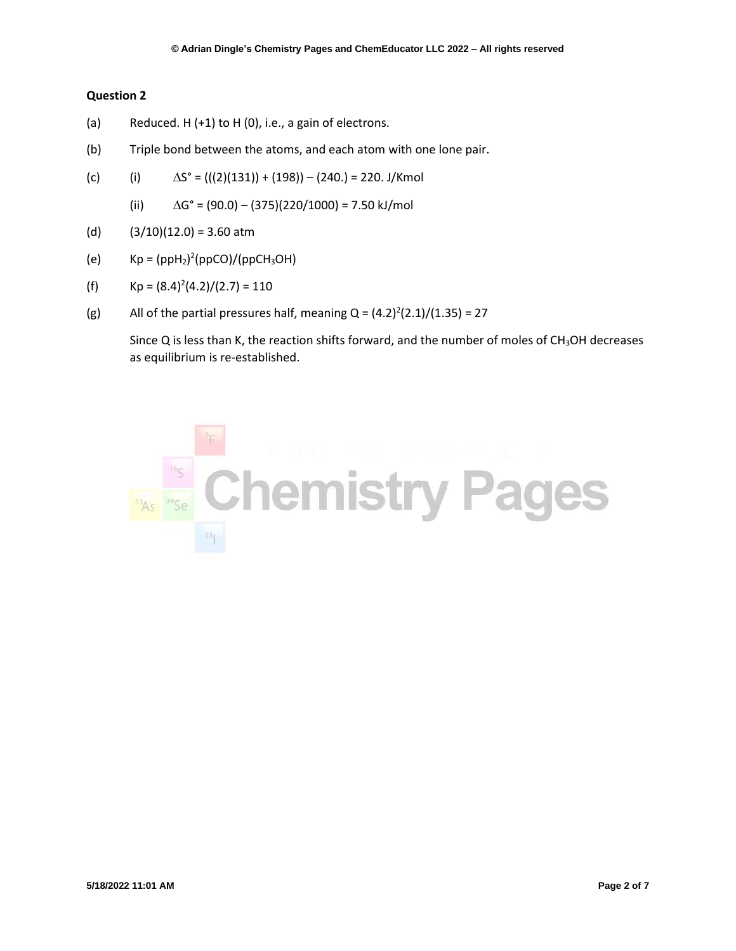- (a) Reduced. H (+1) to H (0), i.e., a gain of electrons.
- (b) Triple bond between the atoms, and each atom with one lone pair.
- (c) (i)  $\Delta S^{\circ} = (((2)(131)) + (198)) (240.) = 220. \text{ J/Kmol}$ 
	- (ii)  $\Delta G^{\circ} = (90.0) (375)(220/1000) = 7.50 \text{ kJ/mol}$
- (d)  $(3/10)(12.0) = 3.60$  atm
- (e)  $Kp = (ppH_2)^2 (ppCO)/(ppCH_3OH)$
- (f)  $Kp = (8.4)^2(4.2)/(2.7) = 110$
- (g) All of the partial pressures half, meaning  $Q = (4.2)^2(2.1)/(1.35) = 27$

Since  $Q$  is less than K, the reaction shifts forward, and the number of moles of  $CH<sub>3</sub>OH$  decreases as equilibrium is re-established.

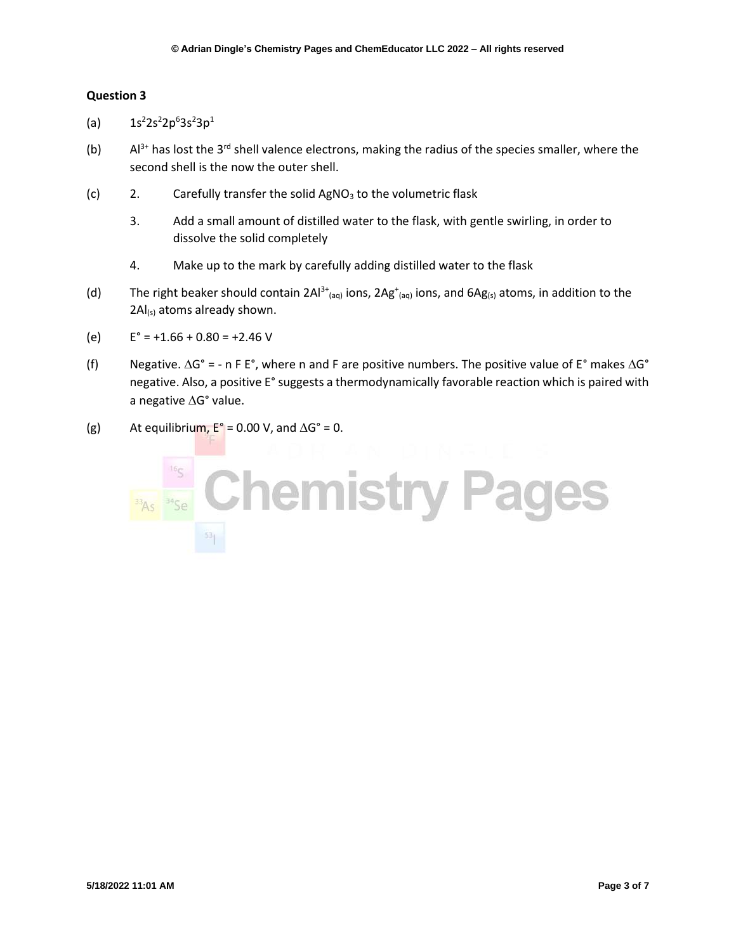- (a)  $1s^22s^22p^63s^23p^1$
- (b)  $A^{3+}$  has lost the 3<sup>rd</sup> shell valence electrons, making the radius of the species smaller, where the second shell is the now the outer shell.
- (c) 2. Carefully transfer the solid  $AgNO<sub>3</sub>$  to the volumetric flask
	- 3. Add a small amount of distilled water to the flask, with gentle swirling, in order to dissolve the solid completely
	- 4. Make up to the mark by carefully adding distilled water to the flask
- (d) The right beaker should contain  $2Al^{3+}$ <sub>(aq)</sub> ions,  $2Ag^+$ <sub>(aq)</sub> ions, and  $6Ag_{(s)}$  atoms, in addition to the  $2AI_{(s)}$  atoms already shown.
- (e)  $E^{\circ} = +1.66 + 0.80 = +2.46$  V
- (f) Negative.  $\Delta G^{\circ}$  = n F E°, where n and F are positive numbers. The positive value of E° makes  $\Delta G^{\circ}$ negative. Also, a positive E°suggests a thermodynamically favorable reaction which is paired with a negative  $\Delta G^{\circ}$  value.
- (g) At equilibrium,  $E^{\circ} = 0.00$  V, and  $\Delta G^{\circ} = 0$ .

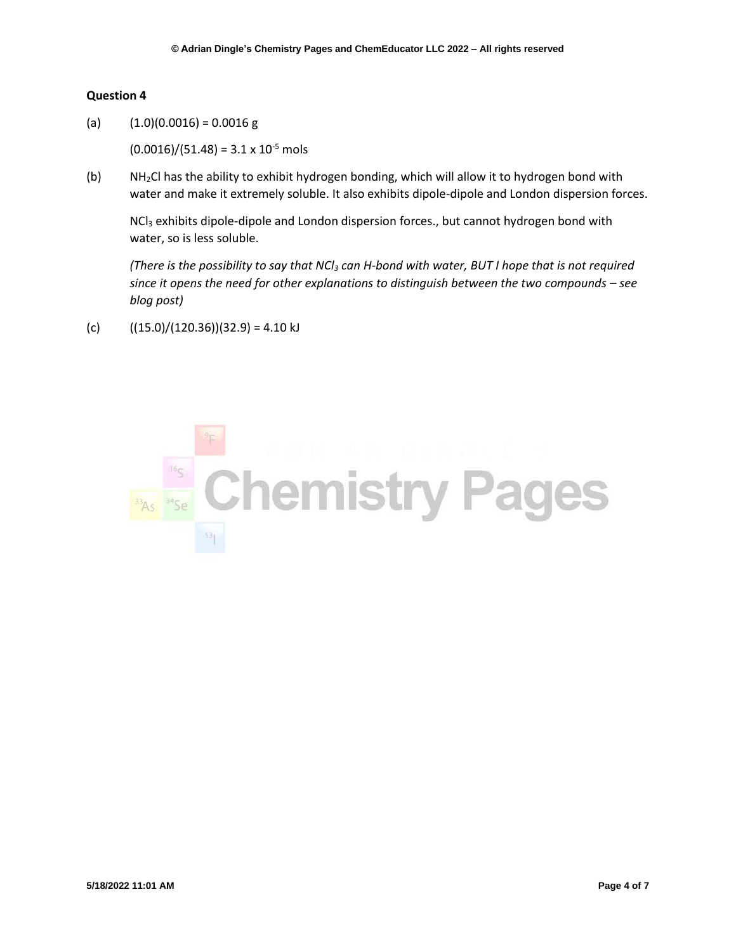(a)  $(1.0)(0.0016) = 0.0016$  g

 $(0.0016)/(51.48) = 3.1 \times 10^{-5}$  mols

(b) NH2Cl has the ability to exhibit hydrogen bonding, which will allow it to hydrogen bond with water and make it extremely soluble. It also exhibits dipole-dipole and London dispersion forces.

NCl<sub>3</sub> exhibits dipole-dipole and London dispersion forces., but cannot hydrogen bond with water, so is less soluble.

*(There is the possibility to say that NCl<sup>3</sup> can H-bond with water, BUT I hope that is not required since it opens the need for other explanations to distinguish between the two compounds – see blog post)*

(c)  $((15.0)/(120.36))(32.9) = 4.10 \text{ kJ}$ 

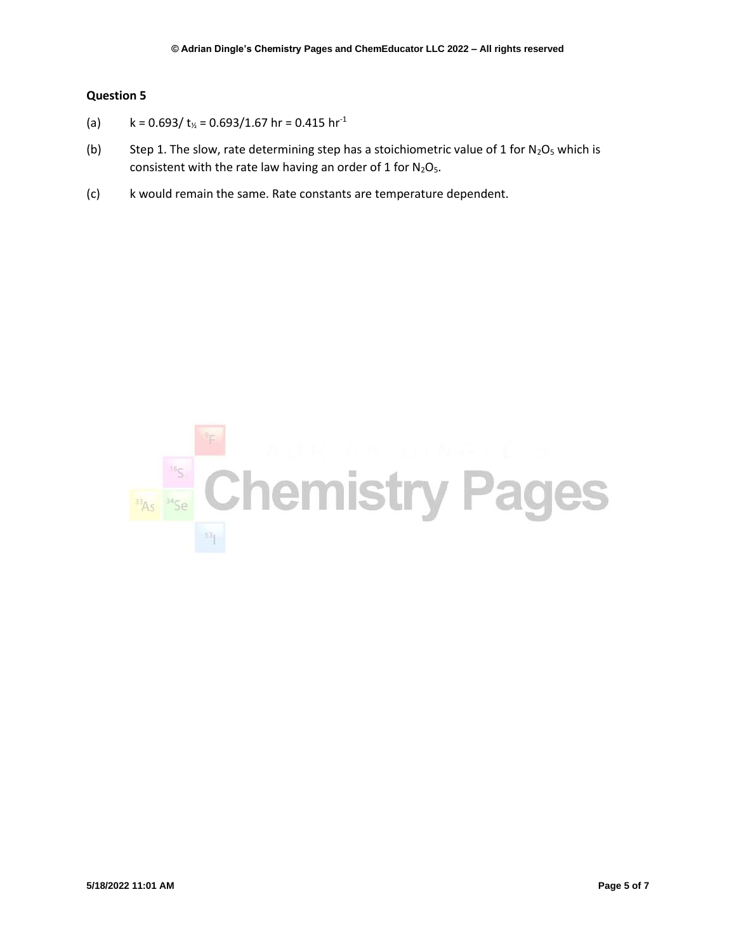- (a)  $k = 0.693 / t_{\frac{1}{2}} = 0.693 / 1.67$  hr = 0.415 hr<sup>-1</sup>
- (b) Step 1. The slow, rate determining step has a stoichiometric value of 1 for  $N_2O_5$  which is consistent with the rate law having an order of 1 for  $N_2O_5$ .
- (c) k would remain the same. Rate constants are temperature dependent.

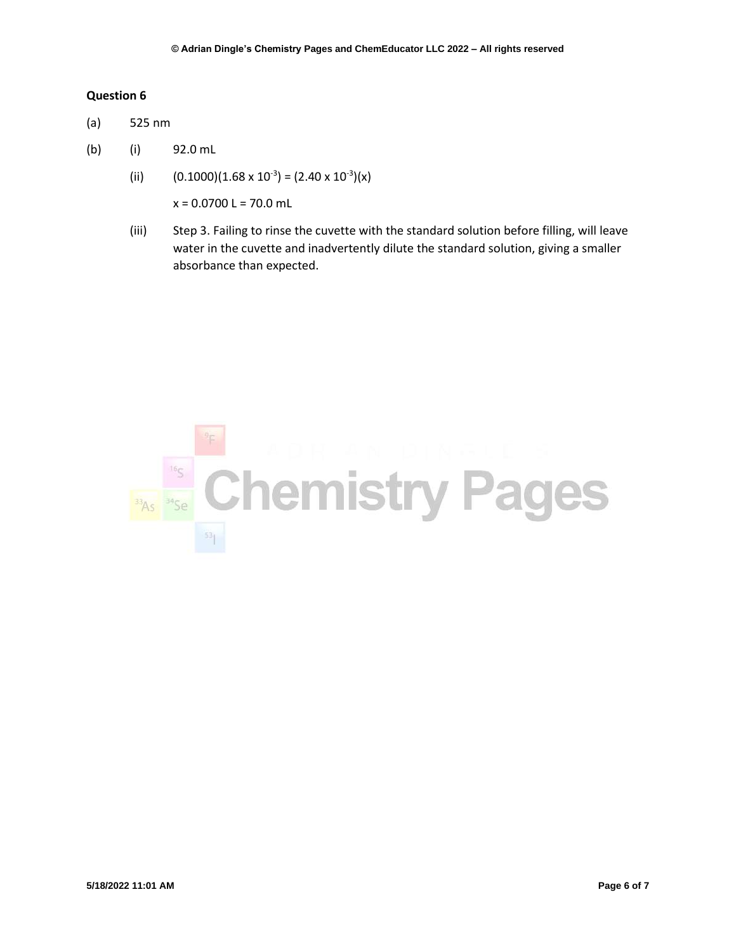- (a) 525 nm
- (b) (i) 92.0 mL
	- (ii)  $(0.1000)(1.68 \times 10^{-3}) = (2.40 \times 10^{-3})(x)$

 $x = 0.0700$  L = 70.0 mL

(iii) Step 3. Failing to rinse the cuvette with the standard solution before filling, will leave water in the cuvette and inadvertently dilute the standard solution, giving a smaller absorbance than expected.